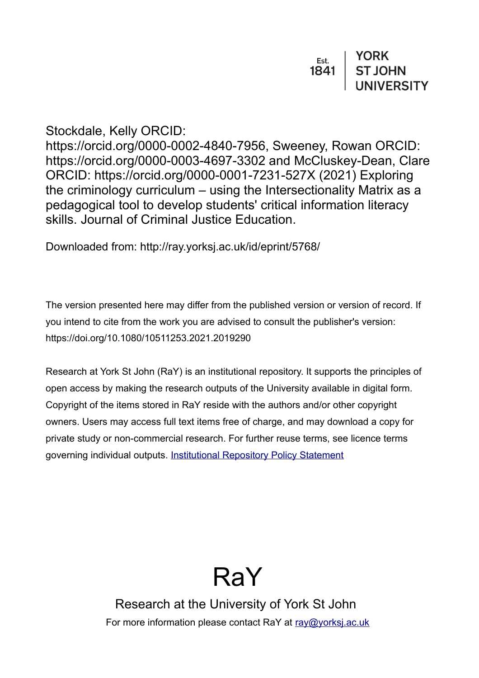# Stockdale, Kelly ORCID:

https://orcid.org/0000-0002-4840-7956, Sweeney, Rowan ORCID: https://orcid.org/0000-0003-4697-3302 and McCluskey-Dean, Clare ORCID: https://orcid.org/0000-0001-7231-527X (2021) Exploring the criminology curriculum – using the Intersectionality Matrix as a pedagogical tool to develop students' critical information literacy skills. Journal of Criminal Justice Education.

Downloaded from: http://ray.yorksj.ac.uk/id/eprint/5768/

The version presented here may differ from the published version or version of record. If you intend to cite from the work you are advised to consult the publisher's version: https://doi.org/10.1080/10511253.2021.2019290

Research at York St John (RaY) is an institutional repository. It supports the principles of open access by making the research outputs of the University available in digital form. Copyright of the items stored in RaY reside with the authors and/or other copyright owners. Users may access full text items free of charge, and may download a copy for private study or non-commercial research. For further reuse terms, see licence terms governing individual outputs. [Institutional Repository Policy Statement](https://www.yorksj.ac.uk/ils/repository-policies/)



Research at the University of York St John For more information please contact RaY at [ray@yorksj.ac.uk](mailto:ray@yorksj.ac.uk)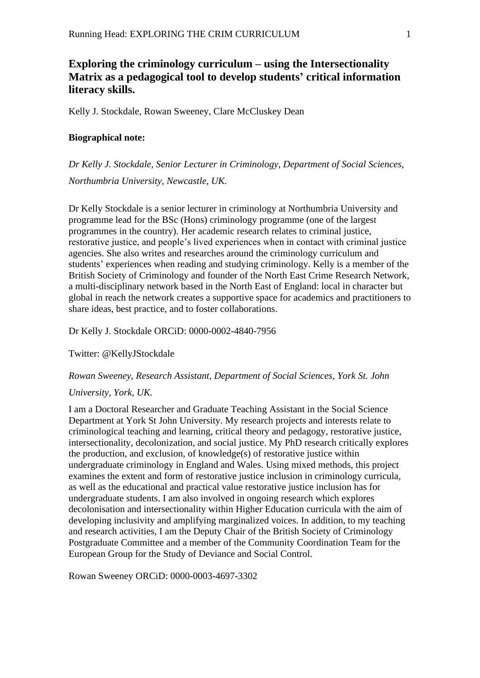## **Exploring the criminology curriculum – using the Intersectionality Matrix as a pedagogical tool to develop students' critical information literacy skills.**

Kelly J. Stockdale, Rowan Sweeney, Clare McCluskey Dean

### **Biographical note:**

*Dr Kelly J. Stockdale, Senior Lecturer in Criminology, Department of Social Sciences, Northumbria University, Newcastle, UK.* 

Dr Kelly Stockdale is a senior lecturer in criminology at Northumbria University and programme lead for the BSc (Hons) criminology programme (one of the largest programmes in the country). Her academic research relates to criminal justice, restorative justice, and people's lived experiences when in contact with criminal justice agencies. She also writes and researches around the criminology curriculum and students' experiences when reading and studying criminology. Kelly is a member of the British Society of Criminology and founder of the North East Crime Research Network, a multi-disciplinary network based in the North East of England: local in character but global in reach the network creates a supportive space for academics and practitioners to share ideas, best practice, and to foster collaborations.

Dr Kelly J. Stockdale ORCiD: 0000-0002-4840-7956

Twitter: @KellyJStockdale

#### *Rowan Sweeney, Research Assistant, Department of Social Sciences, York St. John*

#### *University, York, UK.*

I am a Doctoral Researcher and Graduate Teaching Assistant in the Social Science Department at York St John University. My research projects and interests relate to criminological teaching and learning, critical theory and pedagogy, restorative justice, intersectionality, decolonization, and social justice. My PhD research critically explores the production, and exclusion, of knowledge(s) of restorative justice within undergraduate criminology in England and Wales. Using mixed methods, this project examines the extent and form of restorative justice inclusion in criminology curricula, as well as the educational and practical value restorative justice inclusion has for undergraduate students. I am also involved in ongoing research which explores decolonisation and intersectionality within Higher Education curricula with the aim of developing inclusivity and amplifying marginalized voices. In addition, to my teaching and research activities, I am the Deputy Chair of the British Society of Criminology Postgraduate Committee and a member of the Community Coordination Team for the European Group for the Study of Deviance and Social Control.

Rowan Sweeney ORCiD: 0000-0003-4697-3302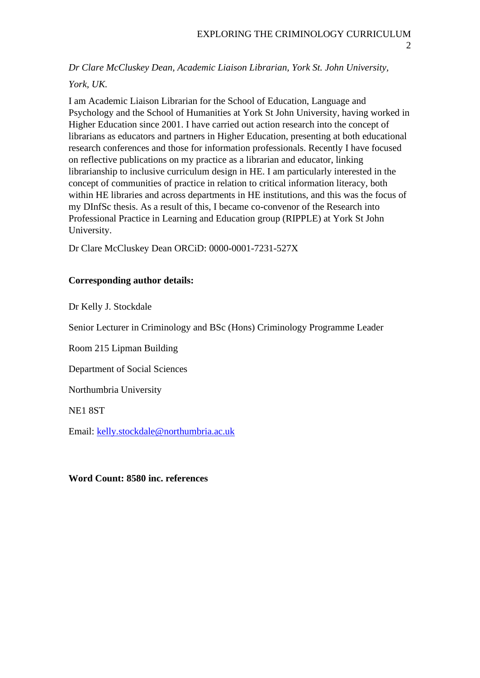*Dr Clare McCluskey Dean, Academic Liaison Librarian, York St. John University,* 

## *York, UK.*

I am Academic Liaison Librarian for the School of Education, Language and Psychology and the School of Humanities at York St John University, having worked in Higher Education since 2001. I have carried out action research into the concept of librarians as educators and partners in Higher Education, presenting at both educational research conferences and those for information professionals. Recently I have focused on reflective publications on my practice as a librarian and educator, linking librarianship to inclusive curriculum design in HE. I am particularly interested in the concept of communities of practice in relation to critical information literacy, both within HE libraries and across departments in HE institutions, and this was the focus of my DInfSc thesis. As a result of this, I became co-convenor of the Research into Professional Practice in Learning and Education group (RIPPLE) at York St John University.

Dr Clare McCluskey Dean ORCiD: 0000-0001-7231-527X

## **Corresponding author details:**

Dr Kelly J. Stockdale

Senior Lecturer in Criminology and BSc (Hons) Criminology Programme Leader

Room 215 Lipman Building

Department of Social Sciences

Northumbria University

NE1 8ST

Email: [kelly.stockdale@northumbria.ac.uk](mailto:kelly.stockdale@northumbria.ac.uk)

## **Word Count: 8580 inc. references**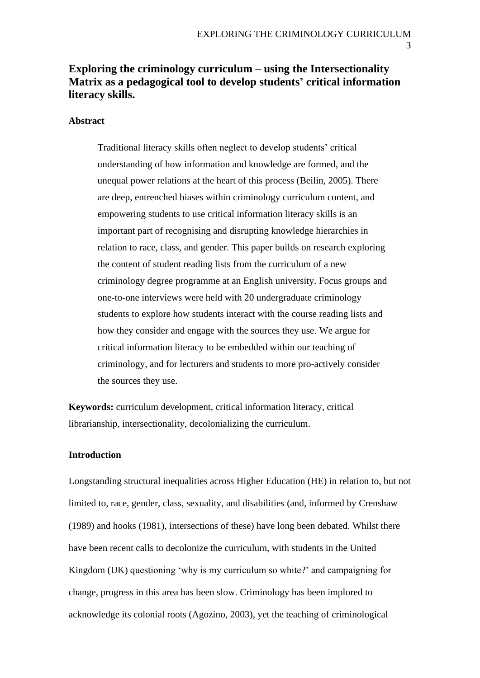## **Exploring the criminology curriculum – using the Intersectionality Matrix as a pedagogical tool to develop students' critical information literacy skills.**

## **Abstract**

Traditional literacy skills often neglect to develop students' critical understanding of how information and knowledge are formed, and the unequal power relations at the heart of this process (Beilin, 2005). There are deep, entrenched biases within criminology curriculum content, and empowering students to use critical information literacy skills is an important part of recognising and disrupting knowledge hierarchies in relation to race, class, and gender. This paper builds on research exploring the content of student reading lists from the curriculum of a new criminology degree programme at an English university. Focus groups and one-to-one interviews were held with 20 undergraduate criminology students to explore how students interact with the course reading lists and how they consider and engage with the sources they use. We argue for critical information literacy to be embedded within our teaching of criminology, and for lecturers and students to more pro-actively consider the sources they use.

**Keywords:** curriculum development, critical information literacy, critical librarianship, intersectionality, decolonializing the curriculum.

## **Introduction**

Longstanding structural inequalities across Higher Education (HE) in relation to, but not limited to, race, gender, class, sexuality, and disabilities (and, informed by Crenshaw (1989) and hooks (1981), intersections of these) have long been debated. Whilst there have been recent calls to decolonize the curriculum, with students in the United Kingdom (UK) questioning 'why is my curriculum so white?' and campaigning for change, progress in this area has been slow. Criminology has been implored to acknowledge its colonial roots (Agozino, 2003), yet the teaching of criminological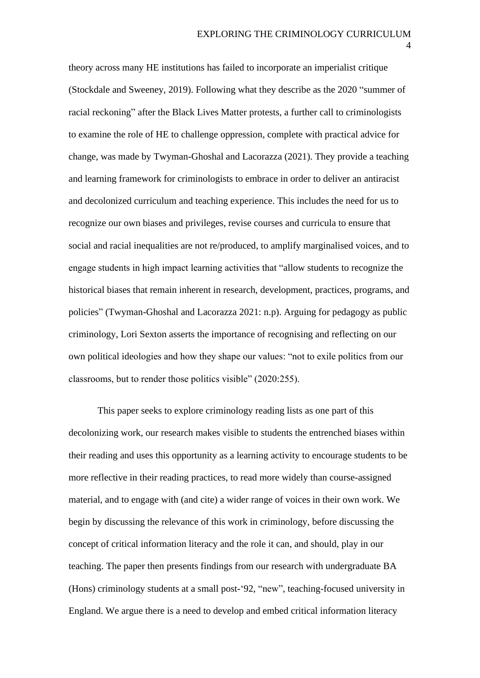theory across many HE institutions has failed to incorporate an imperialist critique (Stockdale and Sweeney, 2019). Following what they describe as the 2020 "summer of racial reckoning" after the Black Lives Matter protests, a further call to criminologists to examine the role of HE to challenge oppression, complete with practical advice for change, was made by Twyman-Ghoshal and Lacorazza (2021). They provide a teaching and learning framework for criminologists to embrace in order to deliver an antiracist and decolonized curriculum and teaching experience. This includes the need for us to recognize our own biases and privileges, revise courses and curricula to ensure that social and racial inequalities are not re/produced, to amplify marginalised voices, and to engage students in high impact learning activities that "allow students to recognize the historical biases that remain inherent in research, development, practices, programs, and policies" (Twyman-Ghoshal and Lacorazza 2021: n.p). Arguing for pedagogy as public criminology, Lori Sexton asserts the importance of recognising and reflecting on our own political ideologies and how they shape our values: "not to exile politics from our classrooms, but to render those politics visible" (2020:255).

This paper seeks to explore criminology reading lists as one part of this decolonizing work, our research makes visible to students the entrenched biases within their reading and uses this opportunity as a learning activity to encourage students to be more reflective in their reading practices, to read more widely than course-assigned material, and to engage with (and cite) a wider range of voices in their own work. We begin by discussing the relevance of this work in criminology, before discussing the concept of critical information literacy and the role it can, and should, play in our teaching. The paper then presents findings from our research with undergraduate BA (Hons) criminology students at a small post-'92, "new", teaching-focused university in England. We argue there is a need to develop and embed critical information literacy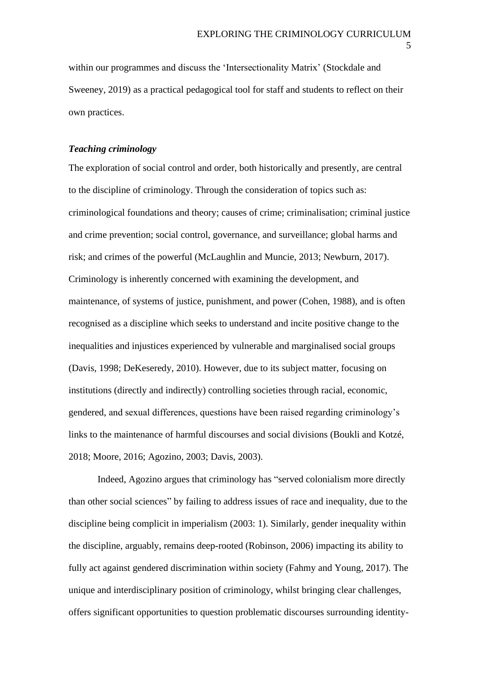within our programmes and discuss the 'Intersectionality Matrix' (Stockdale and Sweeney, 2019) as a practical pedagogical tool for staff and students to reflect on their own practices.

#### *Teaching criminology*

The exploration of social control and order, both historically and presently, are central to the discipline of criminology. Through the consideration of topics such as: criminological foundations and theory; causes of crime; criminalisation; criminal justice and crime prevention; social control, governance, and surveillance; global harms and risk; and crimes of the powerful (McLaughlin and Muncie, 2013; Newburn, 2017). Criminology is inherently concerned with examining the development, and maintenance, of systems of justice, punishment, and power (Cohen, 1988), and is often recognised as a discipline which seeks to understand and incite positive change to the inequalities and injustices experienced by vulnerable and marginalised social groups (Davis, 1998; DeKeseredy, 2010). However, due to its subject matter, focusing on institutions (directly and indirectly) controlling societies through racial, economic, gendered, and sexual differences, questions have been raised regarding criminology's links to the maintenance of harmful discourses and social divisions (Boukli and Kotzé, 2018; Moore, 2016; Agozino, 2003; Davis, 2003).

Indeed, Agozino argues that criminology has "served colonialism more directly than other social sciences" by failing to address issues of race and inequality, due to the discipline being complicit in imperialism (2003: 1). Similarly, gender inequality within the discipline, arguably, remains deep-rooted (Robinson, 2006) impacting its ability to fully act against gendered discrimination within society (Fahmy and Young, 2017). The unique and interdisciplinary position of criminology, whilst bringing clear challenges, offers significant opportunities to question problematic discourses surrounding identity-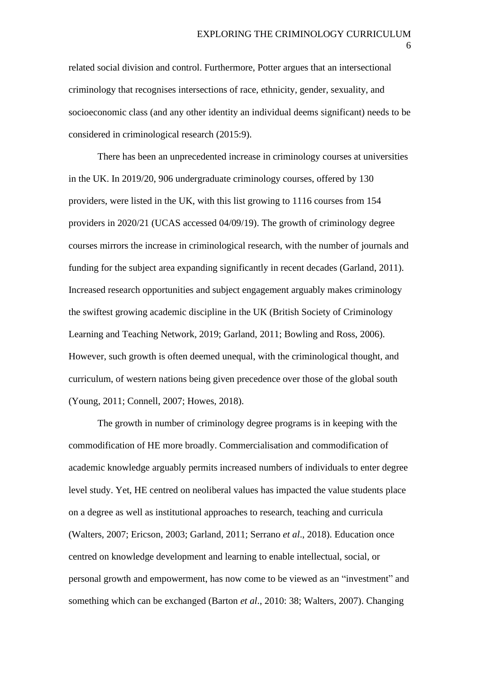related social division and control. Furthermore, Potter argues that an intersectional criminology that recognises intersections of race, ethnicity, gender, sexuality, and socioeconomic class (and any other identity an individual deems significant) needs to be considered in criminological research (2015:9).

There has been an unprecedented increase in criminology courses at universities in the UK. In 2019/20, 906 undergraduate criminology courses, offered by 130 providers, were listed in the UK, with this list growing to 1116 courses from 154 providers in 2020/21 (UCAS accessed 04/09/19). The growth of criminology degree courses mirrors the increase in criminological research, with the number of journals and funding for the subject area expanding significantly in recent decades (Garland, 2011). Increased research opportunities and subject engagement arguably makes criminology the swiftest growing academic discipline in the UK (British Society of Criminology Learning and Teaching Network, 2019; Garland, 2011; Bowling and Ross, 2006). However, such growth is often deemed unequal, with the criminological thought, and curriculum, of western nations being given precedence over those of the global south (Young, 2011; Connell, 2007; Howes, 2018).

The growth in number of criminology degree programs is in keeping with the commodification of HE more broadly. Commercialisation and commodification of academic knowledge arguably permits increased numbers of individuals to enter degree level study. Yet, HE centred on neoliberal values has impacted the value students place on a degree as well as institutional approaches to research, teaching and curricula (Walters, 2007; Ericson, 2003; Garland, 2011; Serrano *et al*., 2018). Education once centred on knowledge development and learning to enable intellectual, social, or personal growth and empowerment, has now come to be viewed as an "investment" and something which can be exchanged (Barton *et al*., 2010: 38; Walters, 2007). Changing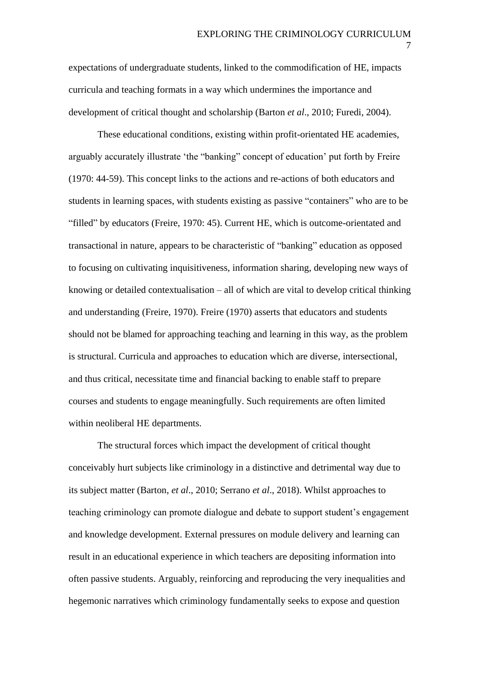expectations of undergraduate students, linked to the commodification of HE, impacts curricula and teaching formats in a way which undermines the importance and development of critical thought and scholarship (Barton *et al*., 2010; Furedi, 2004).

These educational conditions, existing within profit-orientated HE academies, arguably accurately illustrate 'the "banking" concept of education' put forth by Freire (1970: 44-59). This concept links to the actions and re-actions of both educators and students in learning spaces, with students existing as passive "containers" who are to be "filled" by educators (Freire, 1970: 45). Current HE, which is outcome-orientated and transactional in nature, appears to be characteristic of "banking" education as opposed to focusing on cultivating inquisitiveness, information sharing, developing new ways of knowing or detailed contextualisation – all of which are vital to develop critical thinking and understanding (Freire, 1970). Freire (1970) asserts that educators and students should not be blamed for approaching teaching and learning in this way, as the problem is structural. Curricula and approaches to education which are diverse, intersectional, and thus critical, necessitate time and financial backing to enable staff to prepare courses and students to engage meaningfully. Such requirements are often limited within neoliberal HE departments.

The structural forces which impact the development of critical thought conceivably hurt subjects like criminology in a distinctive and detrimental way due to its subject matter (Barton, *et al*., 2010; Serrano *et al*., 2018). Whilst approaches to teaching criminology can promote dialogue and debate to support student's engagement and knowledge development. External pressures on module delivery and learning can result in an educational experience in which teachers are depositing information into often passive students. Arguably, reinforcing and reproducing the very inequalities and hegemonic narratives which criminology fundamentally seeks to expose and question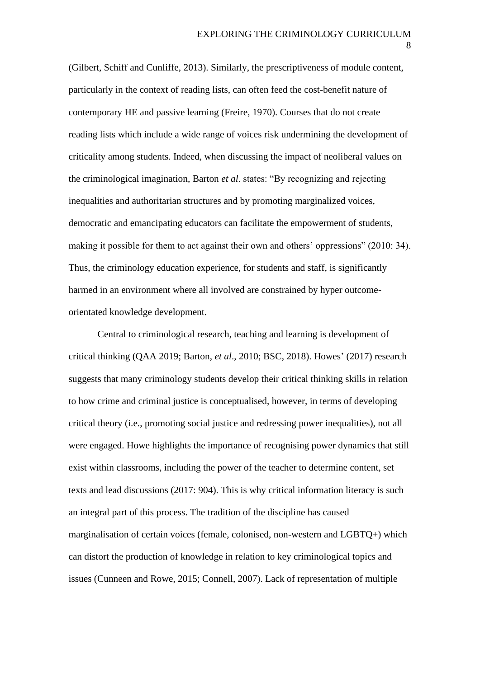(Gilbert, Schiff and Cunliffe, 2013). Similarly, the prescriptiveness of module content, particularly in the context of reading lists, can often feed the cost-benefit nature of contemporary HE and passive learning (Freire, 1970). Courses that do not create reading lists which include a wide range of voices risk undermining the development of criticality among students. Indeed, when discussing the impact of neoliberal values on the criminological imagination, Barton *et al*. states: "By recognizing and rejecting inequalities and authoritarian structures and by promoting marginalized voices, democratic and emancipating educators can facilitate the empowerment of students, making it possible for them to act against their own and others' oppressions" (2010: 34). Thus, the criminology education experience, for students and staff, is significantly harmed in an environment where all involved are constrained by hyper outcomeorientated knowledge development.

Central to criminological research, teaching and learning is development of critical thinking (QAA 2019; Barton, *et al*., 2010; BSC, 2018). Howes' (2017) research suggests that many criminology students develop their critical thinking skills in relation to how crime and criminal justice is conceptualised, however, in terms of developing critical theory (i.e., promoting social justice and redressing power inequalities), not all were engaged. Howe highlights the importance of recognising power dynamics that still exist within classrooms, including the power of the teacher to determine content, set texts and lead discussions (2017: 904). This is why critical information literacy is such an integral part of this process. The tradition of the discipline has caused marginalisation of certain voices (female, colonised, non-western and LGBTQ+) which can distort the production of knowledge in relation to key criminological topics and issues (Cunneen and Rowe, 2015; Connell, 2007). Lack of representation of multiple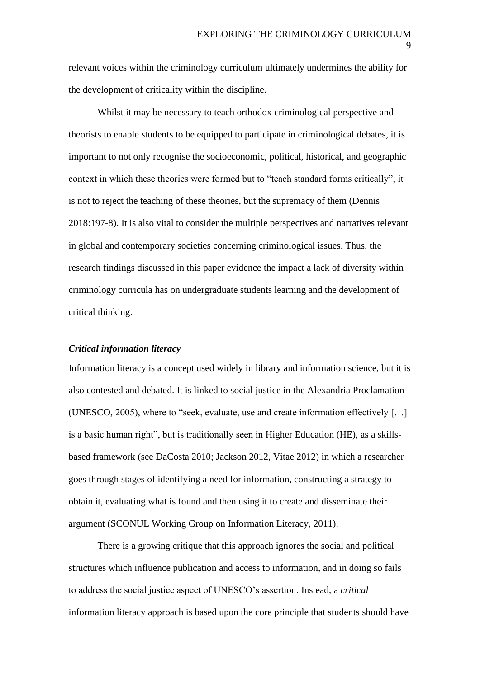relevant voices within the criminology curriculum ultimately undermines the ability for the development of criticality within the discipline.

Whilst it may be necessary to teach orthodox criminological perspective and theorists to enable students to be equipped to participate in criminological debates, it is important to not only recognise the socioeconomic, political, historical, and geographic context in which these theories were formed but to "teach standard forms critically"; it is not to reject the teaching of these theories, but the supremacy of them (Dennis 2018:197-8). It is also vital to consider the multiple perspectives and narratives relevant in global and contemporary societies concerning criminological issues. Thus, the research findings discussed in this paper evidence the impact a lack of diversity within criminology curricula has on undergraduate students learning and the development of critical thinking.

## *Critical information literacy*

Information literacy is a concept used widely in library and information science, but it is also contested and debated. It is linked to social justice in the Alexandria Proclamation (UNESCO, 2005), where to "seek, evaluate, use and create information effectively […] is a basic human right", but is traditionally seen in Higher Education (HE), as a skillsbased framework (see DaCosta 2010; Jackson 2012, Vitae 2012) in which a researcher goes through stages of identifying a need for information, constructing a strategy to obtain it, evaluating what is found and then using it to create and disseminate their argument (SCONUL Working Group on Information Literacy, 2011).

There is a growing critique that this approach ignores the social and political structures which influence publication and access to information, and in doing so fails to address the social justice aspect of UNESCO's assertion. Instead, a *critical*  information literacy approach is based upon the core principle that students should have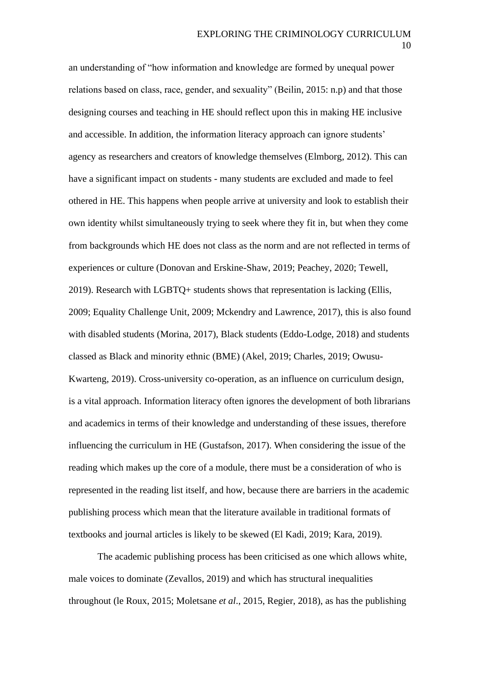an understanding of "how information and knowledge are formed by unequal power relations based on class, race, gender, and sexuality" (Beilin, 2015: n.p) and that those designing courses and teaching in HE should reflect upon this in making HE inclusive and accessible. In addition, the information literacy approach can ignore students' agency as researchers and creators of knowledge themselves (Elmborg, 2012). This can have a significant impact on students - many students are excluded and made to feel othered in HE. This happens when people arrive at university and look to establish their own identity whilst simultaneously trying to seek where they fit in, but when they come from backgrounds which HE does not class as the norm and are not reflected in terms of experiences or culture (Donovan and Erskine-Shaw, 2019; Peachey, 2020; Tewell, 2019). Research with LGBTQ+ students shows that representation is lacking (Ellis, 2009; Equality Challenge Unit, 2009; Mckendry and Lawrence, 2017), this is also found with disabled students (Morina, 2017), Black students (Eddo-Lodge, 2018) and students classed as Black and minority ethnic (BME) (Akel, 2019; Charles, 2019; Owusu-Kwarteng, 2019). Cross-university co-operation, as an influence on curriculum design, is a vital approach. Information literacy often ignores the development of both librarians and academics in terms of their knowledge and understanding of these issues, therefore influencing the curriculum in HE (Gustafson, 2017). When considering the issue of the reading which makes up the core of a module, there must be a consideration of who is represented in the reading list itself, and how, because there are barriers in the academic publishing process which mean that the literature available in traditional formats of textbooks and journal articles is likely to be skewed (El Kadi, 2019; Kara, 2019).

The academic publishing process has been criticised as one which allows white, male voices to dominate (Zevallos, 2019) and which has structural inequalities throughout (le Roux, 2015; Moletsane *et al*., 2015, Regier, 2018), as has the publishing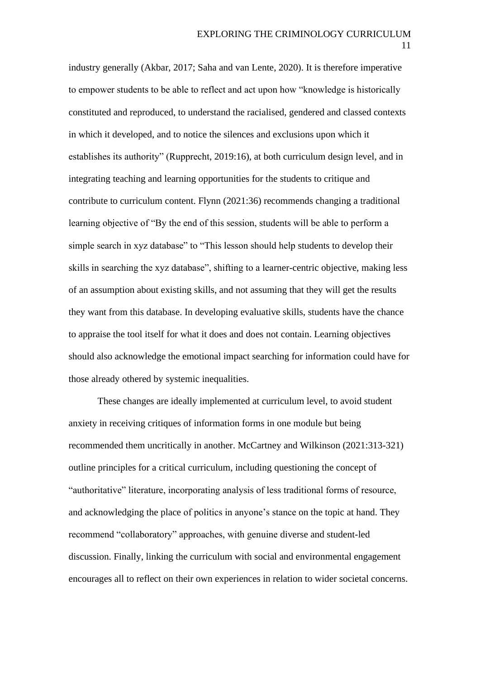industry generally (Akbar, 2017; Saha and van Lente, 2020). It is therefore imperative to empower students to be able to reflect and act upon how "knowledge is historically constituted and reproduced, to understand the racialised, gendered and classed contexts in which it developed, and to notice the silences and exclusions upon which it establishes its authority" (Rupprecht, 2019:16), at both curriculum design level, and in integrating teaching and learning opportunities for the students to critique and contribute to curriculum content. Flynn (2021:36) recommends changing a traditional learning objective of "By the end of this session, students will be able to perform a simple search in xyz database" to "This lesson should help students to develop their skills in searching the xyz database", shifting to a learner-centric objective, making less of an assumption about existing skills, and not assuming that they will get the results they want from this database. In developing evaluative skills, students have the chance to appraise the tool itself for what it does and does not contain. Learning objectives should also acknowledge the emotional impact searching for information could have for those already othered by systemic inequalities.

These changes are ideally implemented at curriculum level, to avoid student anxiety in receiving critiques of information forms in one module but being recommended them uncritically in another. McCartney and Wilkinson (2021:313-321) outline principles for a critical curriculum, including questioning the concept of "authoritative" literature, incorporating analysis of less traditional forms of resource, and acknowledging the place of politics in anyone's stance on the topic at hand. They recommend "collaboratory" approaches, with genuine diverse and student-led discussion. Finally, linking the curriculum with social and environmental engagement encourages all to reflect on their own experiences in relation to wider societal concerns.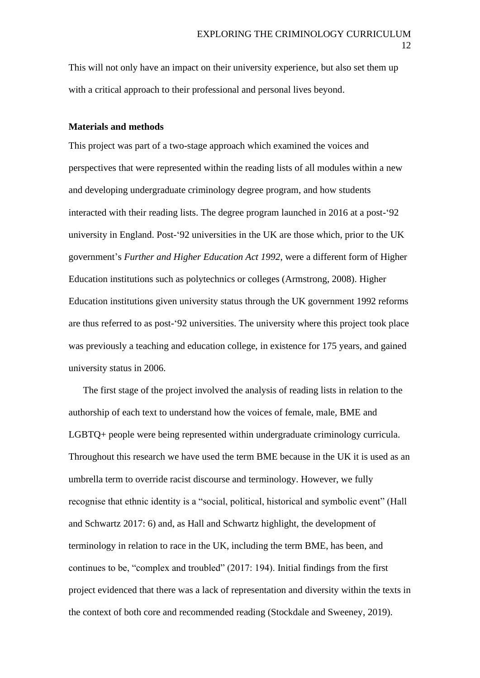This will not only have an impact on their university experience, but also set them up with a critical approach to their professional and personal lives beyond.

#### **Materials and methods**

This project was part of a two-stage approach which examined the voices and perspectives that were represented within the reading lists of all modules within a new and developing undergraduate criminology degree program, and how students interacted with their reading lists. The degree program launched in 2016 at a post-'92 university in England. Post-'92 universities in the UK are those which, prior to the UK government's *Further and Higher Education Act 1992*, were a different form of Higher Education institutions such as polytechnics or colleges (Armstrong, 2008). Higher Education institutions given university status through the UK government 1992 reforms are thus referred to as post-'92 universities. The university where this project took place was previously a teaching and education college, in existence for 175 years, and gained university status in 2006.

The first stage of the project involved the analysis of reading lists in relation to the authorship of each text to understand how the voices of female, male, BME and LGBTQ+ people were being represented within undergraduate criminology curricula. Throughout this research we have used the term BME because in the UK it is used as an umbrella term to override racist discourse and terminology. However, we fully recognise that ethnic identity is a "social, political, historical and symbolic event" (Hall and Schwartz 2017: 6) and, as Hall and Schwartz highlight, the development of terminology in relation to race in the UK, including the term BME, has been, and continues to be, "complex and troubled" (2017: 194). Initial findings from the first project evidenced that there was a lack of representation and diversity within the texts in the context of both core and recommended reading (Stockdale and Sweeney, 2019).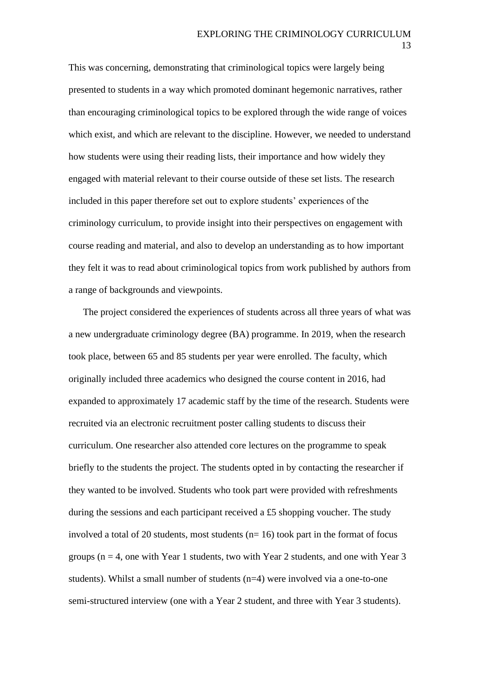This was concerning, demonstrating that criminological topics were largely being presented to students in a way which promoted dominant hegemonic narratives, rather than encouraging criminological topics to be explored through the wide range of voices which exist, and which are relevant to the discipline. However, we needed to understand how students were using their reading lists, their importance and how widely they engaged with material relevant to their course outside of these set lists. The research included in this paper therefore set out to explore students' experiences of the criminology curriculum, to provide insight into their perspectives on engagement with course reading and material, and also to develop an understanding as to how important they felt it was to read about criminological topics from work published by authors from a range of backgrounds and viewpoints.

The project considered the experiences of students across all three years of what was a new undergraduate criminology degree (BA) programme. In 2019, when the research took place, between 65 and 85 students per year were enrolled. The faculty, which originally included three academics who designed the course content in 2016, had expanded to approximately 17 academic staff by the time of the research. Students were recruited via an electronic recruitment poster calling students to discuss their curriculum. One researcher also attended core lectures on the programme to speak briefly to the students the project. The students opted in by contacting the researcher if they wanted to be involved. Students who took part were provided with refreshments during the sessions and each participant received a £5 shopping voucher. The study involved a total of 20 students, most students ( $n=16$ ) took part in the format of focus groups ( $n = 4$ , one with Year 1 students, two with Year 2 students, and one with Year 3 students). Whilst a small number of students (n=4) were involved via a one-to-one semi-structured interview (one with a Year 2 student, and three with Year 3 students).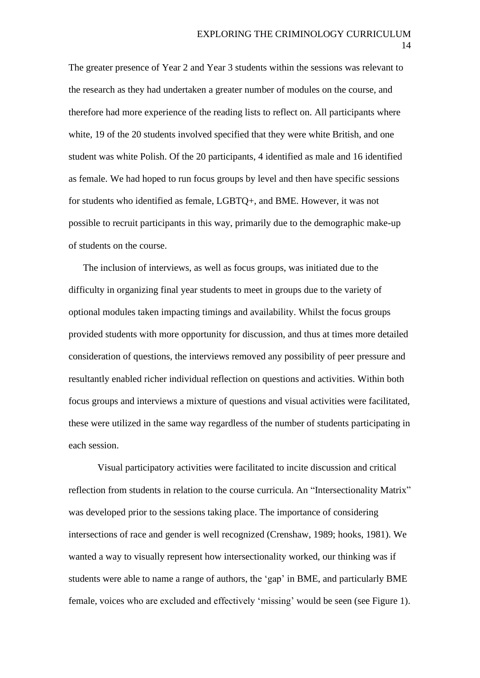The greater presence of Year 2 and Year 3 students within the sessions was relevant to the research as they had undertaken a greater number of modules on the course, and therefore had more experience of the reading lists to reflect on. All participants where white, 19 of the 20 students involved specified that they were white British, and one student was white Polish. Of the 20 participants, 4 identified as male and 16 identified as female. We had hoped to run focus groups by level and then have specific sessions for students who identified as female, LGBTQ+, and BME. However, it was not possible to recruit participants in this way, primarily due to the demographic make-up of students on the course.

The inclusion of interviews, as well as focus groups, was initiated due to the difficulty in organizing final year students to meet in groups due to the variety of optional modules taken impacting timings and availability. Whilst the focus groups provided students with more opportunity for discussion, and thus at times more detailed consideration of questions, the interviews removed any possibility of peer pressure and resultantly enabled richer individual reflection on questions and activities. Within both focus groups and interviews a mixture of questions and visual activities were facilitated, these were utilized in the same way regardless of the number of students participating in each session.

Visual participatory activities were facilitated to incite discussion and critical reflection from students in relation to the course curricula. An "Intersectionality Matrix" was developed prior to the sessions taking place. The importance of considering intersections of race and gender is well recognized (Crenshaw, 1989; hooks, 1981). We wanted a way to visually represent how intersectionality worked, our thinking was if students were able to name a range of authors, the 'gap' in BME, and particularly BME female, voices who are excluded and effectively 'missing' would be seen (see Figure 1).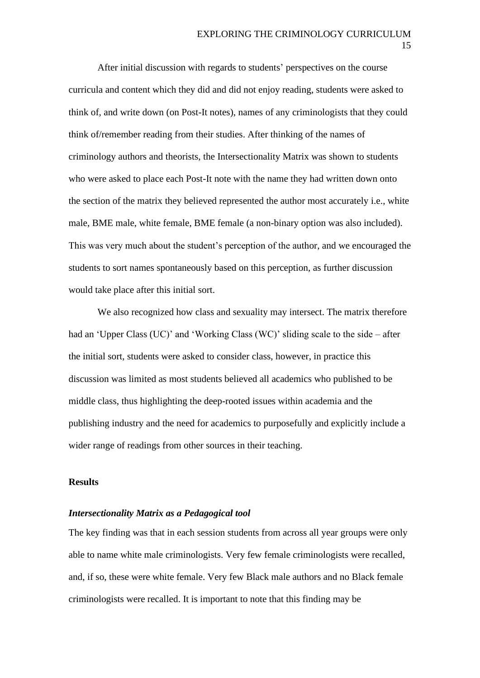After initial discussion with regards to students' perspectives on the course curricula and content which they did and did not enjoy reading, students were asked to think of, and write down (on Post-It notes), names of any criminologists that they could think of/remember reading from their studies. After thinking of the names of criminology authors and theorists, the Intersectionality Matrix was shown to students who were asked to place each Post-It note with the name they had written down onto the section of the matrix they believed represented the author most accurately i.e., white male, BME male, white female, BME female (a non-binary option was also included). This was very much about the student's perception of the author, and we encouraged the students to sort names spontaneously based on this perception, as further discussion would take place after this initial sort.

We also recognized how class and sexuality may intersect. The matrix therefore had an 'Upper Class (UC)' and 'Working Class (WC)' sliding scale to the side – after the initial sort, students were asked to consider class, however, in practice this discussion was limited as most students believed all academics who published to be middle class, thus highlighting the deep-rooted issues within academia and the publishing industry and the need for academics to purposefully and explicitly include a wider range of readings from other sources in their teaching.

## **Results**

#### *Intersectionality Matrix as a Pedagogical tool*

The key finding was that in each session students from across all year groups were only able to name white male criminologists. Very few female criminologists were recalled, and, if so, these were white female. Very few Black male authors and no Black female criminologists were recalled. It is important to note that this finding may be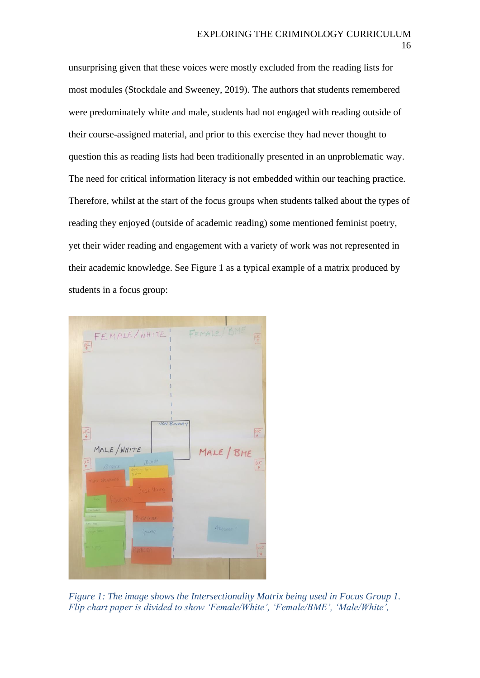unsurprising given that these voices were mostly excluded from the reading lists for most modules (Stockdale and Sweeney, 2019). The authors that students remembered were predominately white and male, students had not engaged with reading outside of their course-assigned material, and prior to this exercise they had never thought to question this as reading lists had been traditionally presented in an unproblematic way. The need for critical information literacy is not embedded within our teaching practice. Therefore, whilst at the start of the focus groups when students talked about the types of reading they enjoyed (outside of academic reading) some mentioned feminist poetry, yet their wider reading and engagement with a variety of work was not represented in their academic knowledge. See Figure 1 as a typical example of a matrix produced by students in a focus group:



*Figure 1: The image shows the Intersectionality Matrix being used in Focus Group 1. Flip chart paper is divided to show 'Female/White', 'Female/BME', 'Male/White',*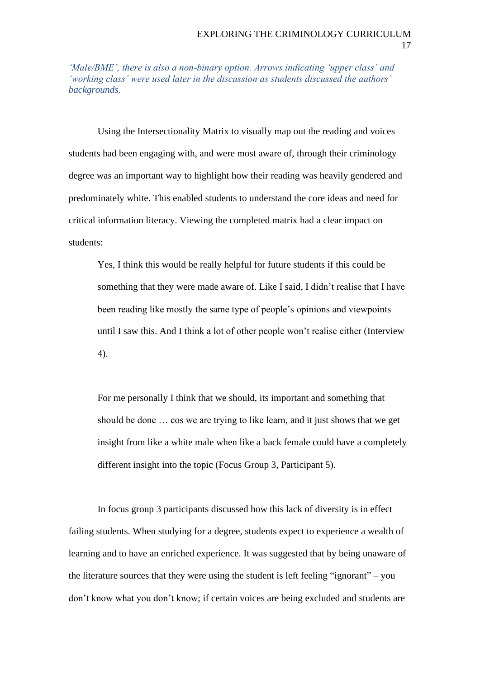*'Male/BME', there is also a non-binary option. Arrows indicating 'upper class' and 'working class' were used later in the discussion as students discussed the authors' backgrounds.*

Using the Intersectionality Matrix to visually map out the reading and voices students had been engaging with, and were most aware of, through their criminology degree was an important way to highlight how their reading was heavily gendered and predominately white. This enabled students to understand the core ideas and need for critical information literacy. Viewing the completed matrix had a clear impact on students:

Yes, I think this would be really helpful for future students if this could be something that they were made aware of. Like I said, I didn't realise that I have been reading like mostly the same type of people's opinions and viewpoints until I saw this. And I think a lot of other people won't realise either (Interview 4).

For me personally I think that we should, its important and something that should be done … cos we are trying to like learn, and it just shows that we get insight from like a white male when like a back female could have a completely different insight into the topic (Focus Group 3, Participant 5).

In focus group 3 participants discussed how this lack of diversity is in effect failing students. When studying for a degree, students expect to experience a wealth of learning and to have an enriched experience. It was suggested that by being unaware of the literature sources that they were using the student is left feeling "ignorant" – you don't know what you don't know; if certain voices are being excluded and students are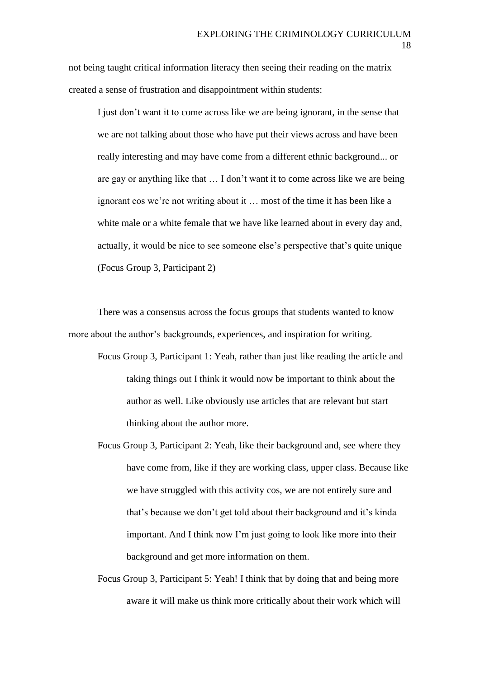not being taught critical information literacy then seeing their reading on the matrix created a sense of frustration and disappointment within students:

I just don't want it to come across like we are being ignorant, in the sense that we are not talking about those who have put their views across and have been really interesting and may have come from a different ethnic background... or are gay or anything like that … I don't want it to come across like we are being ignorant cos we're not writing about it … most of the time it has been like a white male or a white female that we have like learned about in every day and, actually, it would be nice to see someone else's perspective that's quite unique (Focus Group 3, Participant 2)

There was a consensus across the focus groups that students wanted to know more about the author's backgrounds, experiences, and inspiration for writing.

- Focus Group 3, Participant 1: Yeah, rather than just like reading the article and taking things out I think it would now be important to think about the author as well. Like obviously use articles that are relevant but start thinking about the author more.
- Focus Group 3, Participant 2: Yeah, like their background and, see where they have come from, like if they are working class, upper class. Because like we have struggled with this activity cos, we are not entirely sure and that's because we don't get told about their background and it's kinda important. And I think now I'm just going to look like more into their background and get more information on them.
- Focus Group 3, Participant 5: Yeah! I think that by doing that and being more aware it will make us think more critically about their work which will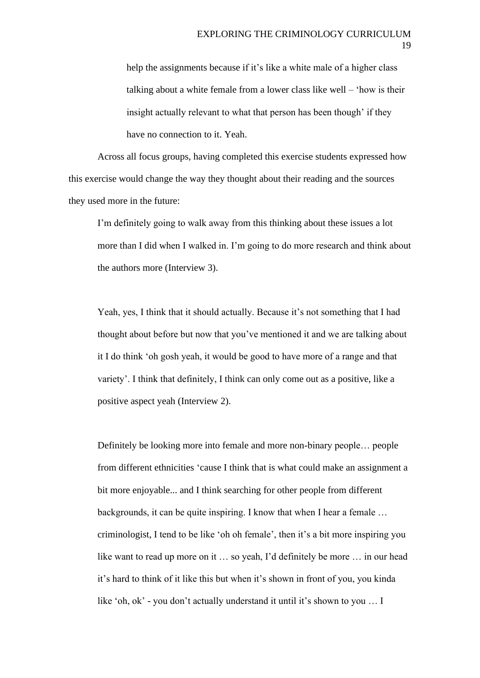help the assignments because if it's like a white male of a higher class talking about a white female from a lower class like well – 'how is their insight actually relevant to what that person has been though' if they have no connection to it. Yeah.

Across all focus groups, having completed this exercise students expressed how this exercise would change the way they thought about their reading and the sources they used more in the future:

I'm definitely going to walk away from this thinking about these issues a lot more than I did when I walked in. I'm going to do more research and think about the authors more (Interview 3).

Yeah, yes, I think that it should actually. Because it's not something that I had thought about before but now that you've mentioned it and we are talking about it I do think 'oh gosh yeah, it would be good to have more of a range and that variety'. I think that definitely, I think can only come out as a positive, like a positive aspect yeah (Interview 2).

Definitely be looking more into female and more non-binary people… people from different ethnicities 'cause I think that is what could make an assignment a bit more enjoyable... and I think searching for other people from different backgrounds, it can be quite inspiring. I know that when I hear a female … criminologist, I tend to be like 'oh oh female', then it's a bit more inspiring you like want to read up more on it … so yeah, I'd definitely be more … in our head it's hard to think of it like this but when it's shown in front of you, you kinda like 'oh, ok' - you don't actually understand it until it's shown to you … I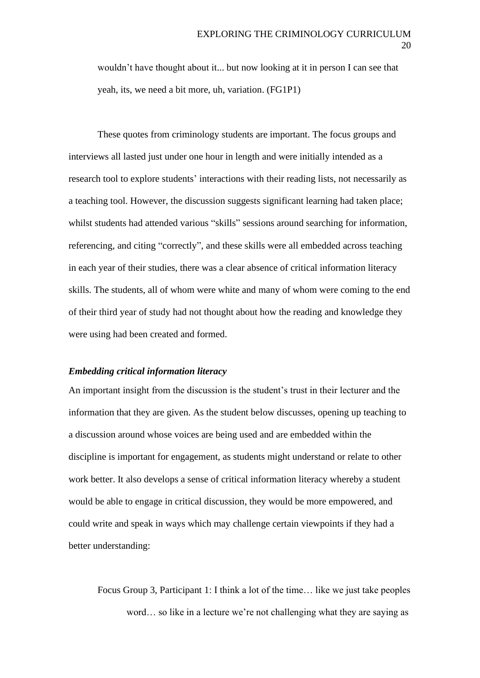wouldn't have thought about it... but now looking at it in person I can see that yeah, its, we need a bit more, uh, variation. (FG1P1)

These quotes from criminology students are important. The focus groups and interviews all lasted just under one hour in length and were initially intended as a research tool to explore students' interactions with their reading lists, not necessarily as a teaching tool. However, the discussion suggests significant learning had taken place; whilst students had attended various "skills" sessions around searching for information, referencing, and citing "correctly", and these skills were all embedded across teaching in each year of their studies, there was a clear absence of critical information literacy skills. The students, all of whom were white and many of whom were coming to the end of their third year of study had not thought about how the reading and knowledge they were using had been created and formed.

### *Embedding critical information literacy*

An important insight from the discussion is the student's trust in their lecturer and the information that they are given. As the student below discusses, opening up teaching to a discussion around whose voices are being used and are embedded within the discipline is important for engagement, as students might understand or relate to other work better. It also develops a sense of critical information literacy whereby a student would be able to engage in critical discussion, they would be more empowered, and could write and speak in ways which may challenge certain viewpoints if they had a better understanding:

Focus Group 3, Participant 1: I think a lot of the time… like we just take peoples word… so like in a lecture we're not challenging what they are saying as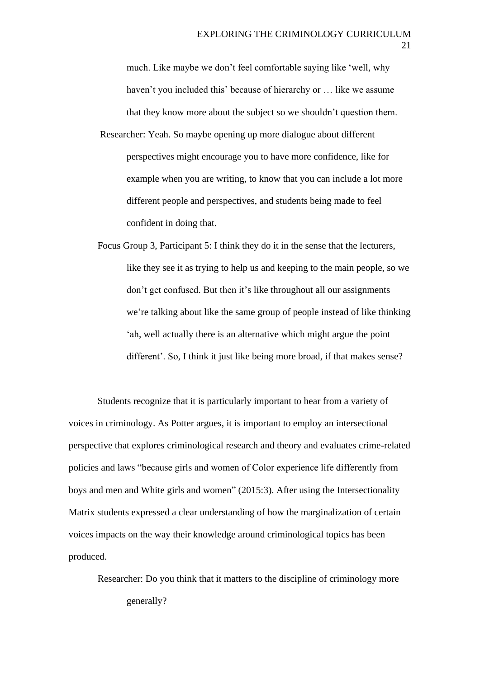much. Like maybe we don't feel comfortable saying like 'well, why haven't you included this' because of hierarchy or … like we assume that they know more about the subject so we shouldn't question them.

- Researcher: Yeah. So maybe opening up more dialogue about different perspectives might encourage you to have more confidence, like for example when you are writing, to know that you can include a lot more different people and perspectives, and students being made to feel confident in doing that.
- Focus Group 3, Participant 5: I think they do it in the sense that the lecturers, like they see it as trying to help us and keeping to the main people, so we don't get confused. But then it's like throughout all our assignments we're talking about like the same group of people instead of like thinking 'ah, well actually there is an alternative which might argue the point different'. So, I think it just like being more broad, if that makes sense?

Students recognize that it is particularly important to hear from a variety of voices in criminology. As Potter argues, it is important to employ an intersectional perspective that explores criminological research and theory and evaluates crime-related policies and laws "because girls and women of Color experience life differently from boys and men and White girls and women" (2015:3). After using the Intersectionality Matrix students expressed a clear understanding of how the marginalization of certain voices impacts on the way their knowledge around criminological topics has been produced.

Researcher: Do you think that it matters to the discipline of criminology more generally?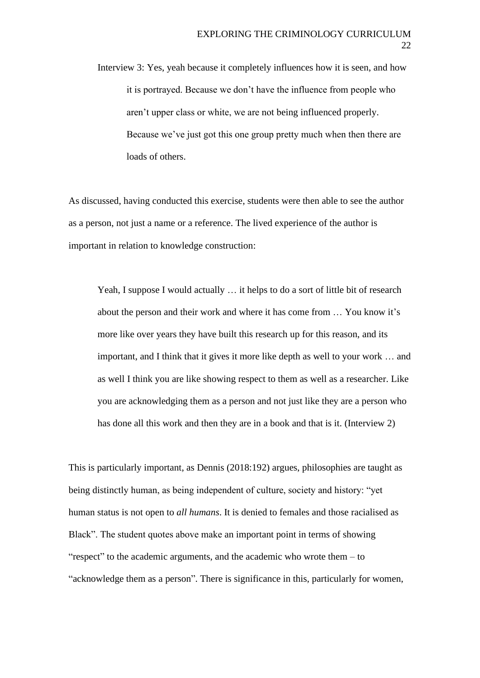Interview 3: Yes, yeah because it completely influences how it is seen, and how it is portrayed. Because we don't have the influence from people who aren't upper class or white, we are not being influenced properly. Because we've just got this one group pretty much when then there are loads of others.

As discussed, having conducted this exercise, students were then able to see the author as a person, not just a name or a reference. The lived experience of the author is important in relation to knowledge construction:

Yeah, I suppose I would actually … it helps to do a sort of little bit of research about the person and their work and where it has come from … You know it's more like over years they have built this research up for this reason, and its important, and I think that it gives it more like depth as well to your work … and as well I think you are like showing respect to them as well as a researcher. Like you are acknowledging them as a person and not just like they are a person who has done all this work and then they are in a book and that is it. (Interview 2)

This is particularly important, as Dennis (2018:192) argues, philosophies are taught as being distinctly human, as being independent of culture, society and history: "yet human status is not open to *all humans*. It is denied to females and those racialised as Black". The student quotes above make an important point in terms of showing "respect" to the academic arguments, and the academic who wrote them – to "acknowledge them as a person". There is significance in this, particularly for women,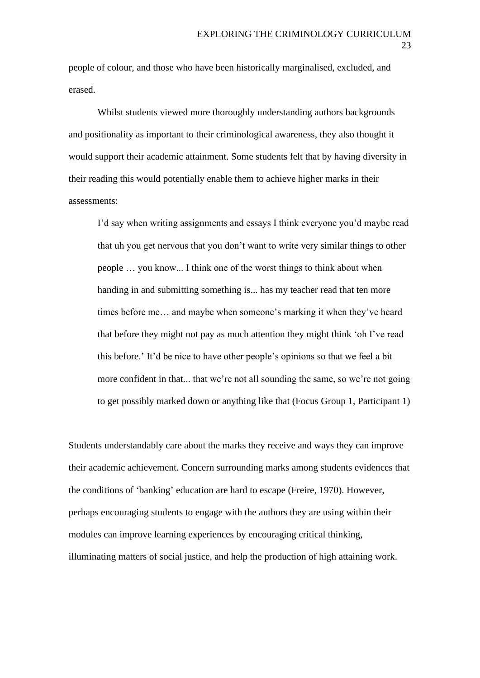people of colour, and those who have been historically marginalised, excluded, and erased.

Whilst students viewed more thoroughly understanding authors backgrounds and positionality as important to their criminological awareness, they also thought it would support their academic attainment. Some students felt that by having diversity in their reading this would potentially enable them to achieve higher marks in their assessments:

I'd say when writing assignments and essays I think everyone you'd maybe read that uh you get nervous that you don't want to write very similar things to other people … you know... I think one of the worst things to think about when handing in and submitting something is... has my teacher read that ten more times before me… and maybe when someone's marking it when they've heard that before they might not pay as much attention they might think 'oh I've read this before.' It'd be nice to have other people's opinions so that we feel a bit more confident in that... that we're not all sounding the same, so we're not going to get possibly marked down or anything like that (Focus Group 1, Participant 1)

Students understandably care about the marks they receive and ways they can improve their academic achievement. Concern surrounding marks among students evidences that the conditions of 'banking' education are hard to escape (Freire, 1970). However, perhaps encouraging students to engage with the authors they are using within their modules can improve learning experiences by encouraging critical thinking, illuminating matters of social justice, and help the production of high attaining work.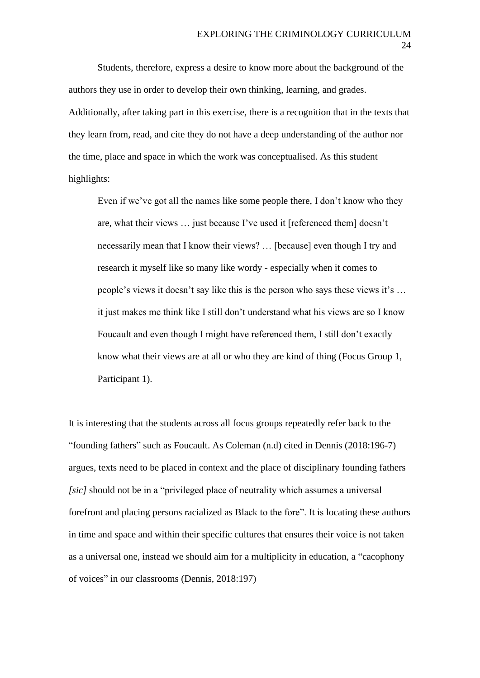Students, therefore, express a desire to know more about the background of the authors they use in order to develop their own thinking, learning, and grades. Additionally, after taking part in this exercise, there is a recognition that in the texts that they learn from, read, and cite they do not have a deep understanding of the author nor the time, place and space in which the work was conceptualised. As this student highlights:

Even if we've got all the names like some people there, I don't know who they are, what their views … just because I've used it [referenced them] doesn't necessarily mean that I know their views? … [because] even though I try and research it myself like so many like wordy - especially when it comes to people's views it doesn't say like this is the person who says these views it's … it just makes me think like I still don't understand what his views are so I know Foucault and even though I might have referenced them, I still don't exactly know what their views are at all or who they are kind of thing (Focus Group 1, Participant 1).

It is interesting that the students across all focus groups repeatedly refer back to the "founding fathers" such as Foucault. As Coleman (n.d) cited in Dennis (2018:196-7) argues, texts need to be placed in context and the place of disciplinary founding fathers *[sic]* should not be in a "privileged place of neutrality which assumes a universal forefront and placing persons racialized as Black to the fore". It is locating these authors in time and space and within their specific cultures that ensures their voice is not taken as a universal one, instead we should aim for a multiplicity in education, a "cacophony of voices" in our classrooms (Dennis, 2018:197)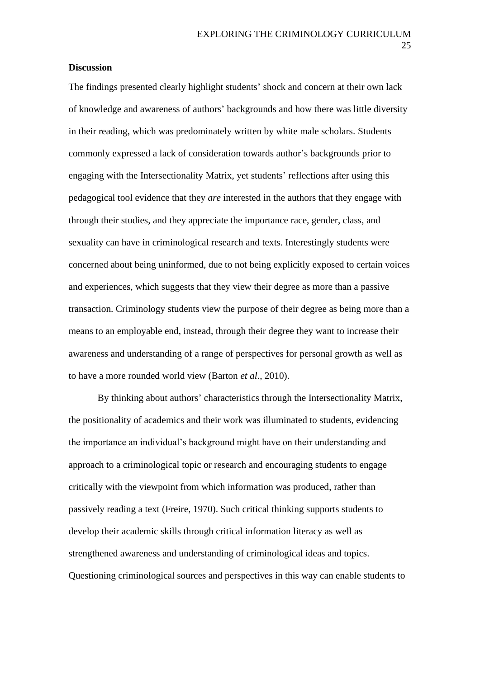## **Discussion**

The findings presented clearly highlight students' shock and concern at their own lack of knowledge and awareness of authors' backgrounds and how there was little diversity in their reading, which was predominately written by white male scholars. Students commonly expressed a lack of consideration towards author's backgrounds prior to engaging with the Intersectionality Matrix, yet students' reflections after using this pedagogical tool evidence that they *are* interested in the authors that they engage with through their studies, and they appreciate the importance race, gender, class, and sexuality can have in criminological research and texts. Interestingly students were concerned about being uninformed, due to not being explicitly exposed to certain voices and experiences, which suggests that they view their degree as more than a passive transaction. Criminology students view the purpose of their degree as being more than a means to an employable end, instead, through their degree they want to increase their awareness and understanding of a range of perspectives for personal growth as well as to have a more rounded world view (Barton *et al*., 2010).

By thinking about authors' characteristics through the Intersectionality Matrix, the positionality of academics and their work was illuminated to students, evidencing the importance an individual's background might have on their understanding and approach to a criminological topic or research and encouraging students to engage critically with the viewpoint from which information was produced, rather than passively reading a text (Freire, 1970). Such critical thinking supports students to develop their academic skills through critical information literacy as well as strengthened awareness and understanding of criminological ideas and topics. Questioning criminological sources and perspectives in this way can enable students to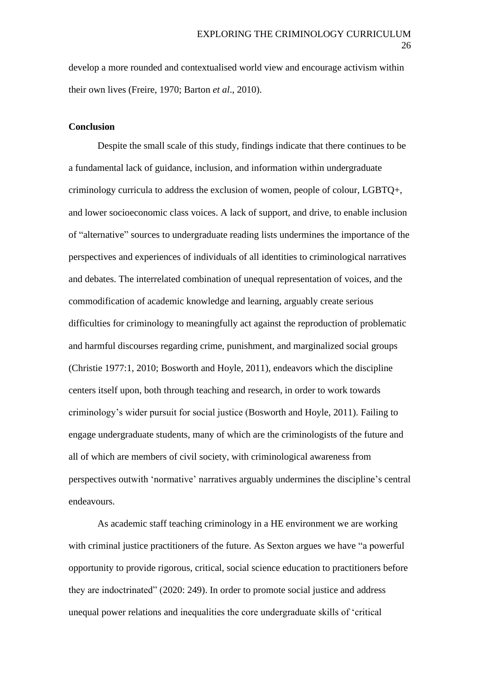develop a more rounded and contextualised world view and encourage activism within their own lives (Freire, 1970; Barton *et al*., 2010).

#### **Conclusion**

Despite the small scale of this study, findings indicate that there continues to be a fundamental lack of guidance, inclusion, and information within undergraduate criminology curricula to address the exclusion of women, people of colour, LGBTQ+, and lower socioeconomic class voices. A lack of support, and drive, to enable inclusion of "alternative" sources to undergraduate reading lists undermines the importance of the perspectives and experiences of individuals of all identities to criminological narratives and debates. The interrelated combination of unequal representation of voices, and the commodification of academic knowledge and learning, arguably create serious difficulties for criminology to meaningfully act against the reproduction of problematic and harmful discourses regarding crime, punishment, and marginalized social groups (Christie 1977:1, 2010; Bosworth and Hoyle, 2011), endeavors which the discipline centers itself upon, both through teaching and research, in order to work towards criminology's wider pursuit for social justice (Bosworth and Hoyle, 2011). Failing to engage undergraduate students, many of which are the criminologists of the future and all of which are members of civil society, with criminological awareness from perspectives outwith 'normative' narratives arguably undermines the discipline's central endeavours.

As academic staff teaching criminology in a HE environment we are working with criminal justice practitioners of the future. As Sexton argues we have "a powerful opportunity to provide rigorous, critical, social science education to practitioners before they are indoctrinated" (2020: 249). In order to promote social justice and address unequal power relations and inequalities the core undergraduate skills of 'critical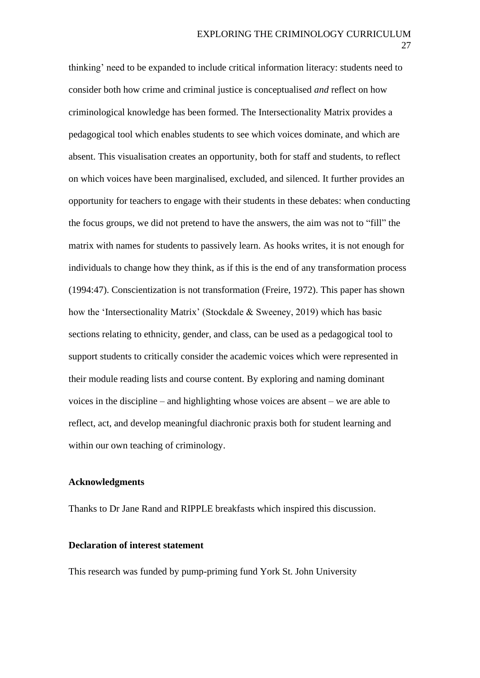thinking' need to be expanded to include critical information literacy: students need to consider both how crime and criminal justice is conceptualised *and* reflect on how criminological knowledge has been formed. The Intersectionality Matrix provides a pedagogical tool which enables students to see which voices dominate, and which are absent. This visualisation creates an opportunity, both for staff and students, to reflect on which voices have been marginalised, excluded, and silenced. It further provides an opportunity for teachers to engage with their students in these debates: when conducting the focus groups, we did not pretend to have the answers, the aim was not to "fill" the matrix with names for students to passively learn. As hooks writes, it is not enough for individuals to change how they think, as if this is the end of any transformation process (1994:47). Conscientization is not transformation (Freire, 1972). This paper has shown how the 'Intersectionality Matrix' (Stockdale & Sweeney, 2019) which has basic sections relating to ethnicity, gender, and class, can be used as a pedagogical tool to support students to critically consider the academic voices which were represented in their module reading lists and course content. By exploring and naming dominant voices in the discipline – and highlighting whose voices are absent – we are able to reflect, act, and develop meaningful diachronic praxis both for student learning and within our own teaching of criminology.

#### **Acknowledgments**

Thanks to Dr Jane Rand and RIPPLE breakfasts which inspired this discussion.

## **Declaration of interest statement**

This research was funded by pump-priming fund York St. John University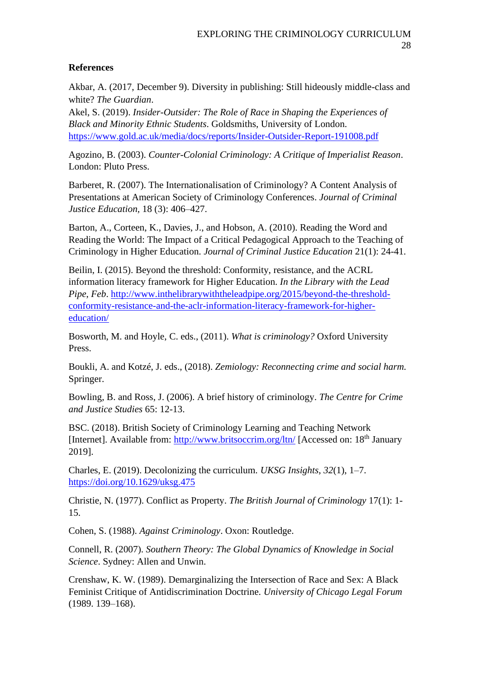## **References**

Akbar, A. (2017, December 9). Diversity in publishing: Still hideously middle-class and white? *The Guardian*.

Akel, S. (2019). *Insider-Outsider: The Role of Race in Shaping the Experiences of Black and Minority Ethnic Students*. Goldsmiths, University of London. <https://www.gold.ac.uk/media/docs/reports/Insider-Outsider-Report-191008.pdf>

Agozino, B. (2003). *Counter-Colonial Criminology: A Critique of Imperialist Reason*. London: Pluto Press.

Barberet, R. (2007). The Internationalisation of Criminology? A Content Analysis of Presentations at American Society of Criminology Conferences. *Journal of Criminal Justice Education,* 18 (3): 406–427.

Barton, A., Corteen, K., Davies, J., and Hobson, A. (2010). Reading the Word and Reading the World: The Impact of a Critical Pedagogical Approach to the Teaching of Criminology in Higher Education. *Journal of Criminal Justice Education* 21(1): 24-41.

Beilin, I. (2015). Beyond the threshold: Conformity, resistance, and the ACRL information literacy framework for Higher Education. *In the Library with the Lead Pipe*, *Feb*. [http://www.inthelibrarywiththeleadpipe.org/2015/beyond-the-threshold](http://www.inthelibrarywiththeleadpipe.org/2015/beyond-the-threshold-conformity-resistance-and-the-aclr-information-literacy-framework-for-higher-education/)[conformity-resistance-and-the-aclr-information-literacy-framework-for-higher](http://www.inthelibrarywiththeleadpipe.org/2015/beyond-the-threshold-conformity-resistance-and-the-aclr-information-literacy-framework-for-higher-education/)[education/](http://www.inthelibrarywiththeleadpipe.org/2015/beyond-the-threshold-conformity-resistance-and-the-aclr-information-literacy-framework-for-higher-education/)

Bosworth, M. and Hoyle, C. eds., (2011). *What is criminology?* Oxford University Press.

Boukli, A. and Kotzé, J. eds., (2018). *Zemiology: Reconnecting crime and social harm.* Springer.

Bowling, B. and Ross, J. (2006). A brief history of criminology. *The Centre for Crime and Justice Studies* 65: 12-13.

BSC. (2018). British Society of Criminology Learning and Teaching Network [Internet]. Available from:<http://www.britsoccrim.org/ltn/> [Accessed on: 18<sup>th</sup> January 2019].

Charles, E. (2019). Decolonizing the curriculum. *UKSG Insights*, *32*(1), 1–7. <https://doi.org/10.1629/uksg.475>

Christie, N. (1977). Conflict as Property. *The British Journal of Criminology* 17(1): 1- 15.

Cohen, S. (1988). *Against Criminology*. Oxon: Routledge.

Connell, R. (2007). *Southern Theory: The Global Dynamics of Knowledge in Social Science*. Sydney: Allen and Unwin.

Crenshaw, K. W. (1989). Demarginalizing the Intersection of Race and Sex: A Black Feminist Critique of Antidiscrimination Doctrine. *University of Chicago Legal Forum* (1989. 139–168).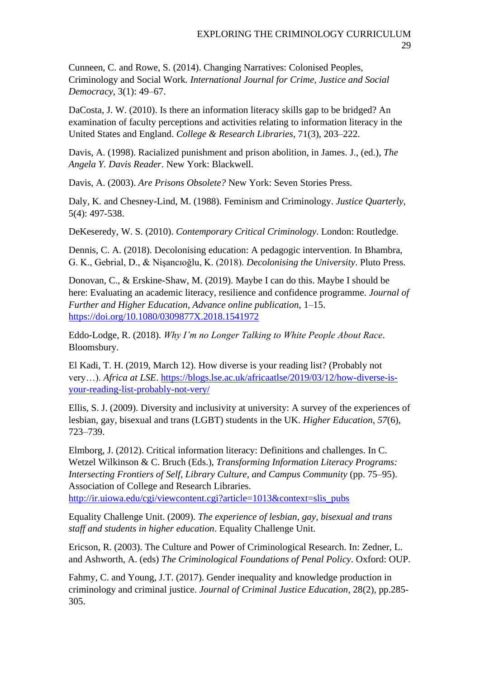Cunneen, C. and Rowe, S. (2014). Changing Narratives: Colonised Peoples, Criminology and Social Work*. International Journal for Crime, Justice and Social Democracy,* 3(1): 49–67.

DaCosta, J. W. (2010). Is there an information literacy skills gap to be bridged? An examination of faculty perceptions and activities relating to information literacy in the United States and England. *College & Research Libraries*, 71(3), 203–222.

Davis, A. (1998). Racialized punishment and prison abolition, in James. J., (ed.), *The Angela Y. Davis Reader*. New York: Blackwell.

Davis, A. (2003). *Are Prisons Obsolete?* New York: Seven Stories Press.

Daly, K. and Chesney-Lind, M. (1988). Feminism and Criminology. *Justice Quarterly*, 5(4): 497-538.

DeKeseredy, W. S. (2010). *Contemporary Critical Criminology*. London: Routledge.

Dennis, C. A. (2018). Decolonising education: A pedagogic intervention. In Bhambra, G. K., Gebrial, D., & Nişancıoğlu, K. (2018). *Decolonising the University*. Pluto Press.

Donovan, C., & Erskine-Shaw, M. (2019). Maybe I can do this. Maybe I should be here: Evaluating an academic literacy, resilience and confidence programme. *Journal of Further and Higher Education*, *Advance online publication*, 1–15. <https://doi.org/10.1080/0309877X.2018.1541972>

Eddo-Lodge, R. (2018). *Why I'm no Longer Talking to White People About Race*. Bloomsbury.

El Kadi, T. H. (2019, March 12). How diverse is your reading list? (Probably not very…). *Africa at LSE*. [https://blogs.lse.ac.uk/africaatlse/2019/03/12/how-diverse-is](https://blogs.lse.ac.uk/africaatlse/2019/03/12/how-diverse-is-your-reading-list-probably-not-very/)[your-reading-list-probably-not-very/](https://blogs.lse.ac.uk/africaatlse/2019/03/12/how-diverse-is-your-reading-list-probably-not-very/)

Ellis, S. J. (2009). Diversity and inclusivity at university: A survey of the experiences of lesbian, gay, bisexual and trans (LGBT) students in the UK. *Higher Education*, *57*(6), 723–739.

Elmborg, J. (2012). Critical information literacy: Definitions and challenges. In C. Wetzel Wilkinson & C. Bruch (Eds.), *Transforming Information Literacy Programs: Intersecting Frontiers of Self, Library Culture, and Campus Community* (pp. 75–95). Association of College and Research Libraries.

[http://ir.uiowa.edu/cgi/viewcontent.cgi?article=1013&context=slis\\_pubs](http://ir.uiowa.edu/cgi/viewcontent.cgi?article=1013&context=slis_pubs)

Equality Challenge Unit. (2009). *The experience of lesbian, gay, bisexual and trans staff and students in higher education*. Equality Challenge Unit.

Ericson, R. (2003). The Culture and Power of Criminological Research. In: Zedner, L. and Ashworth, A. (eds) *The Criminological Foundations of Penal Policy*. Oxford: OUP.

Fahmy, C. and Young, J.T. (2017). Gender inequality and knowledge production in criminology and criminal justice. *Journal of Criminal Justice Education*, 28(2), pp.285- 305.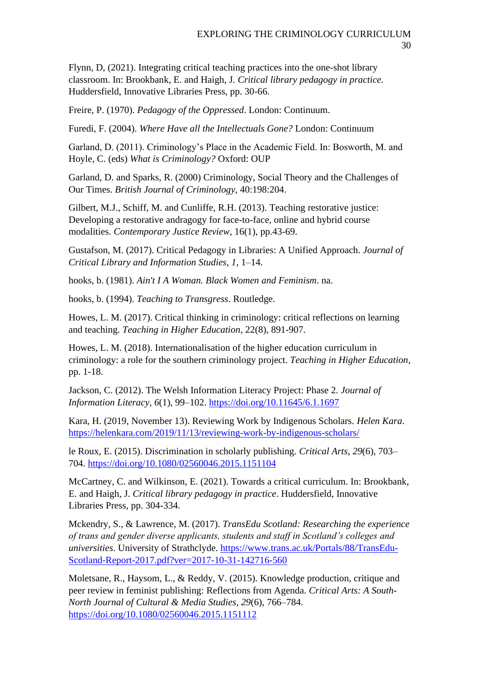Flynn, D, (2021). Integrating critical teaching practices into the one-shot library classroom. In: Brookbank, E. and Haigh, J. *Critical library pedagogy in practice.* Huddersfield, Innovative Libraries Press, pp. 30-66.

Freire, P. (1970). *Pedagogy of the Oppressed*. London: Continuum.

Furedi, F. (2004). *Where Have all the Intellectuals Gone?* London: Continuum

Garland, D. (2011). Criminology's Place in the Academic Field. In: Bosworth, M. and Hoyle, C. (eds) *What is Criminology?* Oxford: OUP

Garland, D. and Sparks, R. (2000) Criminology, Social Theory and the Challenges of Our Times. *British Journal of Criminology*, 40:198:204.

Gilbert, M.J., Schiff, M. and Cunliffe, R.H. (2013). Teaching restorative justice: Developing a restorative andragogy for face-to-face, online and hybrid course modalities. *Contemporary Justice Review*, 16(1), pp.43-69.

Gustafson, M. (2017). Critical Pedagogy in Libraries: A Unified Approach. *Journal of Critical Library and Information Studies*, *1*, 1–14.

hooks, b. (1981). *Ain't I A Woman. Black Women and Feminism*. na.

hooks, b. (1994). *Teaching to Transgress*. Routledge.

Howes, L. M. (2017). Critical thinking in criminology: critical reflections on learning and teaching. *Teaching in Higher Education*, 22(8), 891-907.

Howes, L. M. (2018). Internationalisation of the higher education curriculum in criminology: a role for the southern criminology project. *Teaching in Higher Education*, pp. 1-18.

Jackson, C. (2012). The Welsh Information Literacy Project: Phase 2. *Journal of Information Literacy*, *6*(1), 99–102.<https://doi.org/10.11645/6.1.1697>

Kara, H. (2019, November 13). Reviewing Work by Indigenous Scholars. *Helen Kara*. <https://helenkara.com/2019/11/13/reviewing-work-by-indigenous-scholars/>

le Roux, E. (2015). Discrimination in scholarly publishing. *Critical Arts*, *29*(6), 703– 704.<https://doi.org/10.1080/02560046.2015.1151104>

McCartney, C. and Wilkinson, E. (2021). Towards a critical curriculum. In: Brookbank, E. and Haigh, J. *Critical library pedagogy in practice*. Huddersfield, Innovative Libraries Press, pp. 304-334.

Mckendry, S., & Lawrence, M. (2017). *TransEdu Scotland: Researching the experience of trans and gender diverse applicants, students and staff in Scotland's colleges and universities*. University of Strathclyde. [https://www.trans.ac.uk/Portals/88/TransEdu-](https://www.trans.ac.uk/Portals/88/TransEdu-Scotland-Report-2017.pdf?ver=2017-10-31-142716-560)[Scotland-Report-2017.pdf?ver=2017-10-31-142716-560](https://www.trans.ac.uk/Portals/88/TransEdu-Scotland-Report-2017.pdf?ver=2017-10-31-142716-560)

Moletsane, R., Haysom, L., & Reddy, V. (2015). Knowledge production, critique and peer review in feminist publishing: Reflections from Agenda. *Critical Arts: A South-North Journal of Cultural & Media Studies*, *29*(6), 766–784. <https://doi.org/10.1080/02560046.2015.1151112>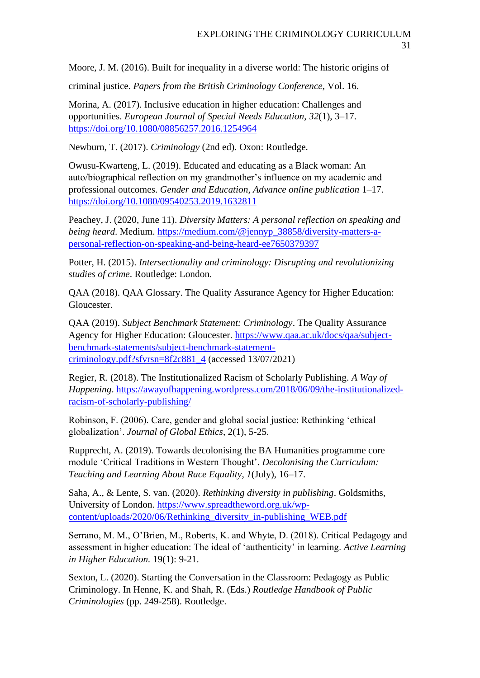Moore, J. M. (2016). Built for inequality in a diverse world: The historic origins of

criminal justice. *Papers from the British Criminology Conference,* Vol. 16.

Morina, A. (2017). Inclusive education in higher education: Challenges and opportunities. *European Journal of Special Needs Education*, *32*(1), 3–17. <https://doi.org/10.1080/08856257.2016.1254964>

Newburn, T. (2017). *Criminology* (2nd ed). Oxon: Routledge.

Owusu-Kwarteng, L. (2019). Educated and educating as a Black woman: An auto/biographical reflection on my grandmother's influence on my academic and professional outcomes. *Gender and Education*, *Advance online publication* 1–17. <https://doi.org/10.1080/09540253.2019.1632811>

Peachey, J. (2020, June 11). *Diversity Matters: A personal reflection on speaking and being heard*. Medium. [https://medium.com/@jennyp\\_38858/diversity-matters-a](https://medium.com/@jennyp_38858/diversity-matters-a-personal-reflection-on-speaking-and-being-heard-ee7650379397)[personal-reflection-on-speaking-and-being-heard-ee7650379397](https://medium.com/@jennyp_38858/diversity-matters-a-personal-reflection-on-speaking-and-being-heard-ee7650379397)

Potter, H. (2015). *Intersectionality and criminology: Disrupting and revolutionizing studies of crime*. Routledge: London.

QAA (2018). QAA Glossary. The Quality Assurance Agency for Higher Education: Gloucester.

QAA (2019). *Subject Benchmark Statement: Criminology*. The Quality Assurance Agency for Higher Education: Gloucester. [https://www.qaa.ac.uk/docs/qaa/subject](https://www.qaa.ac.uk/docs/qaa/subject-benchmark-statements/subject-benchmark-statement-criminology.pdf?sfvrsn=8f2c881_4)[benchmark-statements/subject-benchmark-statement](https://www.qaa.ac.uk/docs/qaa/subject-benchmark-statements/subject-benchmark-statement-criminology.pdf?sfvrsn=8f2c881_4)criminology.pdf?sfvrsn= $8f2c881$  4 (accessed 13/07/2021)

Regier, R. (2018). The Institutionalized Racism of Scholarly Publishing. *A Way of Happening*. [https://awayofhappening.wordpress.com/2018/06/09/the-institutionalized](https://awayofhappening.wordpress.com/2018/06/09/the-institutionalized-racism-of-scholarly-publishing/)[racism-of-scholarly-publishing/](https://awayofhappening.wordpress.com/2018/06/09/the-institutionalized-racism-of-scholarly-publishing/)

Robinson, F. (2006). Care, gender and global social justice: Rethinking 'ethical globalization'. *Journal of Global Ethics*, 2(1), 5-25.

Rupprecht, A. (2019). Towards decolonising the BA Humanities programme core module 'Critical Traditions in Western Thought'. *Decolonising the Curriculum: Teaching and Learning About Race Equality*, *1*(July), 16–17.

Saha, A., & Lente, S. van. (2020). *Rethinking diversity in publishing*. Goldsmiths, University of London. [https://www.spreadtheword.org.uk/wp](https://www.spreadtheword.org.uk/wp-content/uploads/2020/06/Rethinking_diversity_in-publishing_WEB.pdf)[content/uploads/2020/06/Rethinking\\_diversity\\_in-publishing\\_WEB.pdf](https://www.spreadtheword.org.uk/wp-content/uploads/2020/06/Rethinking_diversity_in-publishing_WEB.pdf)

Serrano, M. M., O'Brien, M., Roberts, K. and Whyte, D. (2018). Critical Pedagogy and assessment in higher education: The ideal of 'authenticity' in learning. *Active Learning in Higher Education.* 19(1): 9-21.

Sexton, L. (2020). Starting the Conversation in the Classroom: Pedagogy as Public Criminology. In Henne, K. and Shah, R. (Eds.) *Routledge Handbook of Public Criminologies* (pp. 249-258). Routledge.